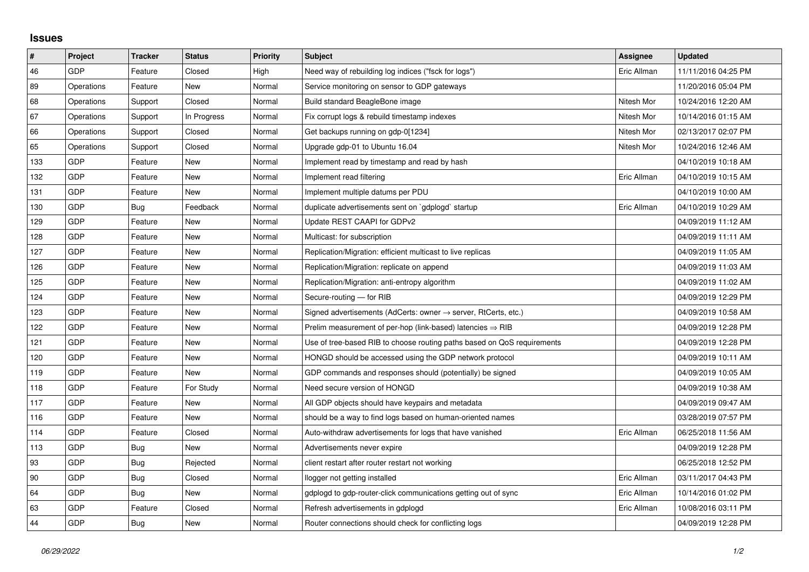## **Issues**

| $\vert$ # | Project    | <b>Tracker</b> | <b>Status</b> | <b>Priority</b> | <b>Subject</b>                                                             | <b>Assignee</b> | <b>Updated</b>      |
|-----------|------------|----------------|---------------|-----------------|----------------------------------------------------------------------------|-----------------|---------------------|
| 46        | GDP        | Feature        | Closed        | High            | Need way of rebuilding log indices ("fsck for logs")                       | Eric Allman     | 11/11/2016 04:25 PM |
| 89        | Operations | Feature        | New           | Normal          | Service monitoring on sensor to GDP gateways                               |                 | 11/20/2016 05:04 PM |
| 68        | Operations | Support        | Closed        | Normal          | Build standard BeagleBone image                                            | Nitesh Mor      | 10/24/2016 12:20 AM |
| 67        | Operations | Support        | In Progress   | Normal          | Fix corrupt logs & rebuild timestamp indexes                               | Nitesh Mor      | 10/14/2016 01:15 AM |
| 66        | Operations | Support        | Closed        | Normal          | Get backups running on gdp-0[1234]                                         | Nitesh Mor      | 02/13/2017 02:07 PM |
| 65        | Operations | Support        | Closed        | Normal          | Upgrade gdp-01 to Ubuntu 16.04                                             | Nitesh Mor      | 10/24/2016 12:46 AM |
| 133       | GDP        | Feature        | <b>New</b>    | Normal          | Implement read by timestamp and read by hash                               |                 | 04/10/2019 10:18 AM |
| 132       | GDP        | Feature        | New           | Normal          | Implement read filtering                                                   | Eric Allman     | 04/10/2019 10:15 AM |
| 131       | <b>GDP</b> | Feature        | New           | Normal          | Implement multiple datums per PDU                                          |                 | 04/10/2019 10:00 AM |
| 130       | GDP        | Bug            | Feedback      | Normal          | duplicate advertisements sent on `gdplogd` startup                         | Eric Allman     | 04/10/2019 10:29 AM |
| 129       | GDP        | Feature        | New           | Normal          | Update REST CAAPI for GDPv2                                                |                 | 04/09/2019 11:12 AM |
| 128       | GDP        | Feature        | New           | Normal          | Multicast: for subscription                                                |                 | 04/09/2019 11:11 AM |
| 127       | GDP        | Feature        | <b>New</b>    | Normal          | Replication/Migration: efficient multicast to live replicas                |                 | 04/09/2019 11:05 AM |
| 126       | GDP        | Feature        | New           | Normal          | Replication/Migration: replicate on append                                 |                 | 04/09/2019 11:03 AM |
| 125       | GDP        | Feature        | New           | Normal          | Replication/Migration: anti-entropy algorithm                              |                 | 04/09/2019 11:02 AM |
| 124       | GDP        | Feature        | <b>New</b>    | Normal          | Secure-routing - for RIB                                                   |                 | 04/09/2019 12:29 PM |
| 123       | GDP        | Feature        | New           | Normal          | Signed advertisements (AdCerts: owner $\rightarrow$ server, RtCerts, etc.) |                 | 04/09/2019 10:58 AM |
| 122       | GDP        | Feature        | New           | Normal          | Prelim measurement of per-hop (link-based) latencies $\Rightarrow$ RIB     |                 | 04/09/2019 12:28 PM |
| 121       | GDP        | Feature        | <b>New</b>    | Normal          | Use of tree-based RIB to choose routing paths based on QoS requirements    |                 | 04/09/2019 12:28 PM |
| 120       | GDP        | Feature        | New           | Normal          | HONGD should be accessed using the GDP network protocol                    |                 | 04/09/2019 10:11 AM |
| 119       | GDP        | Feature        | New           | Normal          | GDP commands and responses should (potentially) be signed                  |                 | 04/09/2019 10:05 AM |
| 118       | GDP        | Feature        | For Study     | Normal          | Need secure version of HONGD                                               |                 | 04/09/2019 10:38 AM |
| 117       | GDP        | Feature        | New           | Normal          | All GDP objects should have keypairs and metadata                          |                 | 04/09/2019 09:47 AM |
| 116       | GDP        | Feature        | New           | Normal          | should be a way to find logs based on human-oriented names                 |                 | 03/28/2019 07:57 PM |
| 114       | GDP        | Feature        | Closed        | Normal          | Auto-withdraw advertisements for logs that have vanished                   | Eric Allman     | 06/25/2018 11:56 AM |
| 113       | GDP        | <b>Bug</b>     | New           | Normal          | Advertisements never expire                                                |                 | 04/09/2019 12:28 PM |
| 93        | GDP        | Bug            | Rejected      | Normal          | client restart after router restart not working                            |                 | 06/25/2018 12:52 PM |
| 90        | GDP        | <b>Bug</b>     | Closed        | Normal          | llogger not getting installed                                              | Eric Allman     | 03/11/2017 04:43 PM |
| 64        | GDP        | Bug            | New           | Normal          | gdplogd to gdp-router-click communications getting out of sync             | Eric Allman     | 10/14/2016 01:02 PM |
| 63        | GDP        | Feature        | Closed        | Normal          | Refresh advertisements in gdplogd                                          | Eric Allman     | 10/08/2016 03:11 PM |
| 44        | GDP        | Bug            | <b>New</b>    | Normal          | Router connections should check for conflicting logs                       |                 | 04/09/2019 12:28 PM |